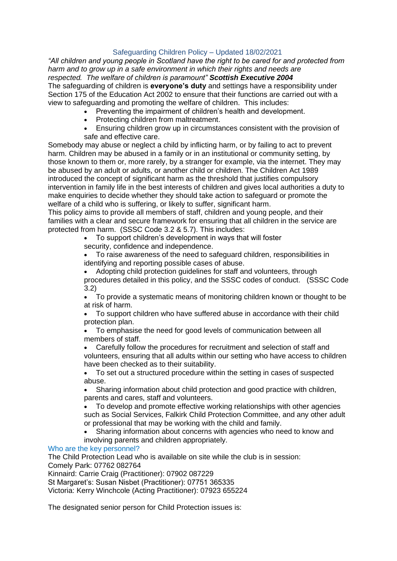# Safeguarding Children Policy – Updated 18/02/2021

*"All children and young people in Scotland have the right to be cared for and protected from harm and to grow up in a safe environment in which their rights and needs are respected. The welfare of children is paramount" Scottish Executive 2004* The safeguarding of children is **everyone's duty** and settings have a responsibility under Section 175 of the Education Act 2002 to ensure that their functions are carried out with a view to safeguarding and promoting the welfare of children. This includes:

- Preventing the impairment of children's health and development.
- Protecting children from maltreatment.
- Ensuring children grow up in circumstances consistent with the provision of safe and effective care.

Somebody may abuse or neglect a child by inflicting harm, or by failing to act to prevent harm. Children may be abused in a family or in an institutional or community setting, by those known to them or, more rarely, by a stranger for example, via the internet. They may be abused by an adult or adults, or another child or children. The Children Act 1989 introduced the concept of significant harm as the threshold that justifies compulsory intervention in family life in the best interests of children and gives local authorities a duty to make enquiries to decide whether they should take action to safeguard or promote the welfare of a child who is suffering, or likely to suffer, significant harm.

This policy aims to provide all members of staff, children and young people, and their families with a clear and secure framework for ensuring that all children in the service are protected from harm. (SSSC Code 3.2 & 5.7). This includes:

• To support children's development in ways that will foster security, confidence and independence.

• To raise awareness of the need to safeguard children, responsibilities in identifying and reporting possible cases of abuse.

• Adopting child protection guidelines for staff and volunteers, through procedures detailed in this policy, and the SSSC codes of conduct. (SSSC Code 3.2)

• To provide a systematic means of monitoring children known or thought to be at risk of harm.

• To support children who have suffered abuse in accordance with their child protection plan.

• To emphasise the need for good levels of communication between all members of staff.

• Carefully follow the procedures for recruitment and selection of staff and volunteers, ensuring that all adults within our setting who have access to children have been checked as to their suitability.

• To set out a structured procedure within the setting in cases of suspected abuse.

• Sharing information about child protection and good practice with children, parents and cares, staff and volunteers.

• To develop and promote effective working relationships with other agencies such as Social Services, Falkirk Child Protection Committee, and any other adult or professional that may be working with the child and family.

• Sharing information about concerns with agencies who need to know and involving parents and children appropriately.

## Who are the key personnel?

The Child Protection Lead who is available on site while the club is in session: Comely Park: 07762 082764

Kinnaird: Carrie Craig (Practitioner): 07902 087229

St Margaret's: Susan Nisbet (Practitioner): 07751 365335

Victoria: Kerry Winchcole (Acting Practitioner): 07923 655224

The designated senior person for Child Protection issues is: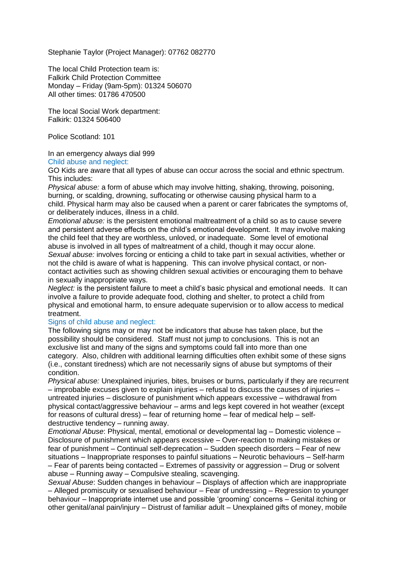Stephanie Taylor (Project Manager): 07762 082770

The local Child Protection team is: Falkirk Child Protection Committee Monday – Friday (9am-5pm): 01324 506070 All other times: 01786 470500

The local Social Work department: Falkirk: 01324 506400

Police Scotland: 101

In an emergency always dial 999

Child abuse and neglect:

GO Kids are aware that all types of abuse can occur across the social and ethnic spectrum. This includes:

*Physical abuse:* a form of abuse which may involve hitting, shaking, throwing, poisoning, burning, or scalding, drowning, suffocating or otherwise causing physical harm to a child. Physical harm may also be caused when a parent or carer fabricates the symptoms of, or deliberately induces, illness in a child.

*Emotional abuse:* is the persistent emotional maltreatment of a child so as to cause severe and persistent adverse effects on the child's emotional development. It may involve making the child feel that they are worthless, unloved, or inadequate. Some level of emotional abuse is involved in all types of maltreatment of a child, though it may occur alone. *Sexual abuse:* involves forcing or enticing a child to take part in sexual activities, whether or not the child is aware of what is happening. This can involve physical contact, or noncontact activities such as showing children sexual activities or encouraging them to behave in sexually inappropriate ways.

*Neglect:* is the persistent failure to meet a child's basic physical and emotional needs. It can involve a failure to provide adequate food, clothing and shelter, to protect a child from physical and emotional harm, to ensure adequate supervision or to allow access to medical treatment.

### Signs of child abuse and neglect:

The following signs may or may not be indicators that abuse has taken place, but the possibility should be considered. Staff must not jump to conclusions. This is not an exclusive list and many of the signs and symptoms could fall into more than one category. Also, children with additional learning difficulties often exhibit some of these signs (i.e., constant tiredness) which are not necessarily signs of abuse but symptoms of their condition.

*Physical abuse:* Unexplained injuries, bites, bruises or burns, particularly if they are recurrent – improbable excuses given to explain injuries – refusal to discuss the causes of injuries – untreated injuries – disclosure of punishment which appears excessive – withdrawal from physical contact/aggressive behaviour – arms and legs kept covered in hot weather (except for reasons of cultural dress) – fear of returning home – fear of medical help – selfdestructive tendency – running away.

*Emotional Abuse*: Physical, mental, emotional or developmental lag – Domestic violence – Disclosure of punishment which appears excessive – Over-reaction to making mistakes or fear of punishment – Continual self-deprecation – Sudden speech disorders – Fear of new situations – Inappropriate responses to painful situations – Neurotic behaviours – Self-harm – Fear of parents being contacted – Extremes of passivity or aggression – Drug or solvent abuse – Running away – Compulsive stealing, scavenging.

*Sexual Abuse*: Sudden changes in behaviour – Displays of affection which are inappropriate – Alleged promiscuity or sexualised behaviour – Fear of undressing – Regression to younger behaviour – Inappropriate internet use and possible 'grooming' concerns – Genital itching or other genital/anal pain/injury – Distrust of familiar adult – Unexplained gifts of money, mobile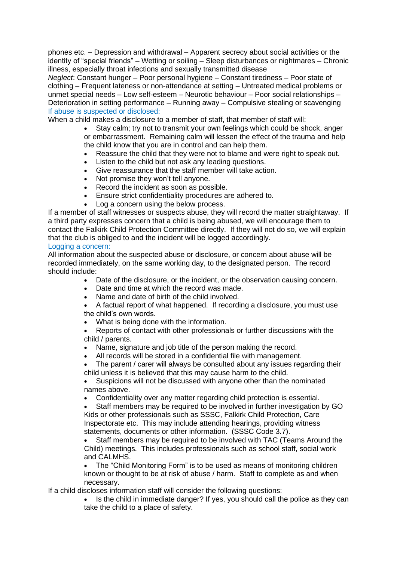phones etc. – Depression and withdrawal – Apparent secrecy about social activities or the identity of "special friends" – Wetting or soiling – Sleep disturbances or nightmares – Chronic illness, especially throat infections and sexually transmitted disease

*Neglect*: Constant hunger – Poor personal hygiene – Constant tiredness – Poor state of clothing – Frequent lateness or non-attendance at setting – Untreated medical problems or unmet special needs – Low self-esteem – Neurotic behaviour – Poor social relationships – Deterioration in setting performance – Running away – Compulsive stealing or scavenging If abuse is suspected or disclosed:

When a child makes a disclosure to a member of staff, that member of staff will:

• Stay calm; try not to transmit your own feelings which could be shock, anger

or embarrassment. Remaining calm will lessen the effect of the trauma and help the child know that you are in control and can help them.

- Reassure the child that they were not to blame and were right to speak out.
- Listen to the child but not ask any leading questions.
- Give reassurance that the staff member will take action.
- Not promise they won't tell anyone.
- Record the incident as soon as possible.
- Ensure strict confidentiality procedures are adhered to.
- Log a concern using the below process.

If a member of staff witnesses or suspects abuse, they will record the matter straightaway. If a third party expresses concern that a child is being abused, we will encourage them to contact the Falkirk Child Protection Committee directly. If they will not do so, we will explain that the club is obliged to and the incident will be logged accordingly.

## Logging a concern:

All information about the suspected abuse or disclosure, or concern about abuse will be recorded immediately, on the same working day, to the designated person. The record should include:

- Date of the disclosure, or the incident, or the observation causing concern.
- Date and time at which the record was made.
- Name and date of birth of the child involved.
- A factual report of what happened. If recording a disclosure, you must use the child's own words.
- What is being done with the information.
- Reports of contact with other professionals or further discussions with the child / parents.
- Name, signature and job title of the person making the record.
- All records will be stored in a confidential file with management.

The parent / carer will always be consulted about any issues regarding their child unless it is believed that this may cause harm to the child.

• Suspicions will not be discussed with anyone other than the nominated names above.

• Confidentiality over any matter regarding child protection is essential.

• Staff members may be required to be involved in further investigation by GO Kids or other professionals such as SSSC, Falkirk Child Protection, Care Inspectorate etc. This may include attending hearings, providing witness statements, documents or other information. (SSSC Code 3.7).

• Staff members may be required to be involved with TAC (Teams Around the Child) meetings. This includes professionals such as school staff, social work and CALMHS.

• The "Child Monitoring Form" is to be used as means of monitoring children known or thought to be at risk of abuse / harm. Staff to complete as and when necessary.

If a child discloses information staff will consider the following questions:

Is the child in immediate danger? If yes, you should call the police as they can take the child to a place of safety.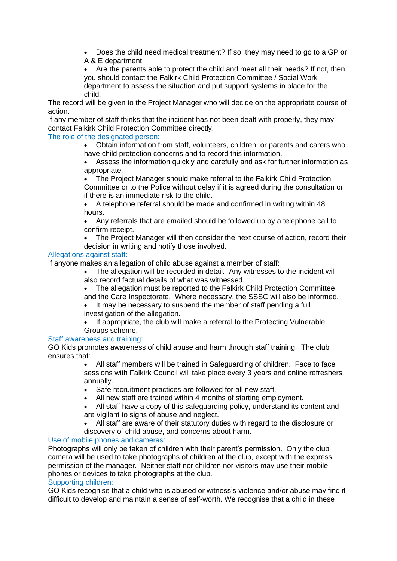• Does the child need medical treatment? If so, they may need to go to a GP or A & E department.

• Are the parents able to protect the child and meet all their needs? If not, then you should contact the Falkirk Child Protection Committee / Social Work department to assess the situation and put support systems in place for the child.

The record will be given to the Project Manager who will decide on the appropriate course of action.

If any member of staff thinks that the incident has not been dealt with properly, they may contact Falkirk Child Protection Committee directly.

### The role of the designated person:

• Obtain information from staff, volunteers, children, or parents and carers who have child protection concerns and to record this information.

Assess the information quickly and carefully and ask for further information as appropriate.

• The Project Manager should make referral to the Falkirk Child Protection Committee or to the Police without delay if it is agreed during the consultation or if there is an immediate risk to the child.

• A telephone referral should be made and confirmed in writing within 48 hours.

• Any referrals that are emailed should be followed up by a telephone call to confirm receipt.

• The Project Manager will then consider the next course of action, record their decision in writing and notify those involved.

### Allegations against staff:

If anyone makes an allegation of child abuse against a member of staff:

- The allegation will be recorded in detail. Any witnesses to the incident will also record factual details of what was witnessed.
- The allegation must be reported to the Falkirk Child Protection Committee and the Care Inspectorate. Where necessary, the SSSC will also be informed.
- It may be necessary to suspend the member of staff pending a full investigation of the allegation.
- If appropriate, the club will make a referral to the Protecting Vulnerable Groups scheme.

### Staff awareness and training:

GO Kids promotes awareness of child abuse and harm through staff training. The club ensures that:

• All staff members will be trained in Safeguarding of children. Face to face sessions with Falkirk Council will take place every 3 years and online refreshers annually.

- Safe recruitment practices are followed for all new staff.
- All new staff are trained within 4 months of starting employment.

• All staff have a copy of this safeguarding policy, understand its content and are vigilant to signs of abuse and neglect.

• All staff are aware of their statutory duties with regard to the disclosure or discovery of child abuse, and concerns about harm.

## Use of mobile phones and cameras:

Photographs will only be taken of children with their parent's permission. Only the club camera will be used to take photographs of children at the club, except with the express permission of the manager. Neither staff nor children nor visitors may use their mobile phones or devices to take photographs at the club.

#### Supporting children:

GO Kids recognise that a child who is abused or witness's violence and/or abuse may find it difficult to develop and maintain a sense of self-worth. We recognise that a child in these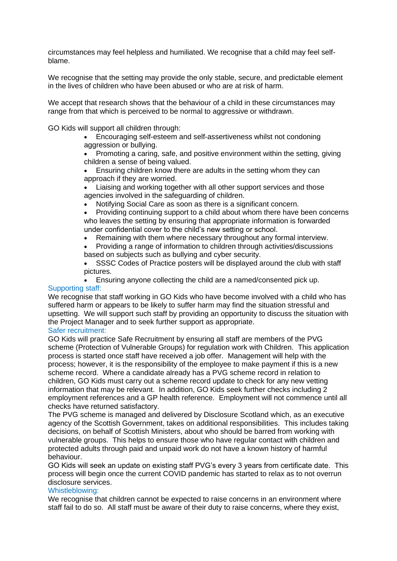circumstances may feel helpless and humiliated. We recognise that a child may feel selfblame.

We recognise that the setting may provide the only stable, secure, and predictable element in the lives of children who have been abused or who are at risk of harm.

We accept that research shows that the behaviour of a child in these circumstances may range from that which is perceived to be normal to aggressive or withdrawn.

GO Kids will support all children through:

• Encouraging self-esteem and self-assertiveness whilst not condoning aggression or bullying.

• Promoting a caring, safe, and positive environment within the setting, giving children a sense of being valued.

- Ensuring children know there are adults in the setting whom they can approach if they are worried.
- Liaising and working together with all other support services and those agencies involved in the safeguarding of children.
	- Notifying Social Care as soon as there is a significant concern.

• Providing continuing support to a child about whom there have been concerns who leaves the setting by ensuring that appropriate information is forwarded under confidential cover to the child's new setting or school.

• Remaining with them where necessary throughout any formal interview.

• Providing a range of information to children through activities/discussions based on subjects such as bullying and cyber security.

SSSC Codes of Practice posters will be displayed around the club with staff pictures.

• Ensuring anyone collecting the child are a named/consented pick up.

#### Supporting staff:

We recognise that staff working in GO Kids who have become involved with a child who has suffered harm or appears to be likely to suffer harm may find the situation stressful and upsetting. We will support such staff by providing an opportunity to discuss the situation with the Project Manager and to seek further support as appropriate.

#### Safer recruitment:

GO Kids will practice Safe Recruitment by ensuring all staff are members of the PVG scheme (Protection of Vulnerable Groups) for regulation work with Children. This application process is started once staff have received a job offer. Management will help with the process; however, it is the responsibility of the employee to make payment if this is a new scheme record. Where a candidate already has a PVG scheme record in relation to children, GO Kids must carry out a scheme record update to check for any new vetting information that may be relevant. In addition, GO Kids seek further checks including 2 employment references and a GP health reference. Employment will not commence until all checks have returned satisfactory.

The PVG scheme is managed and delivered by Disclosure Scotland which, as an executive agency of the Scottish Government, takes on additional responsibilities. This includes taking decisions, on behalf of Scottish Ministers, about who should be barred from working with vulnerable groups. This helps to ensure those who have regular contact with children and protected adults through paid and unpaid work do not have a known history of harmful behaviour.

GO Kids will seek an update on existing staff PVG's every 3 years from certificate date. This process will begin once the current COVID pandemic has started to relax as to not overrun disclosure services.

#### Whistleblowing:

We recognise that children cannot be expected to raise concerns in an environment where staff fail to do so. All staff must be aware of their duty to raise concerns, where they exist,